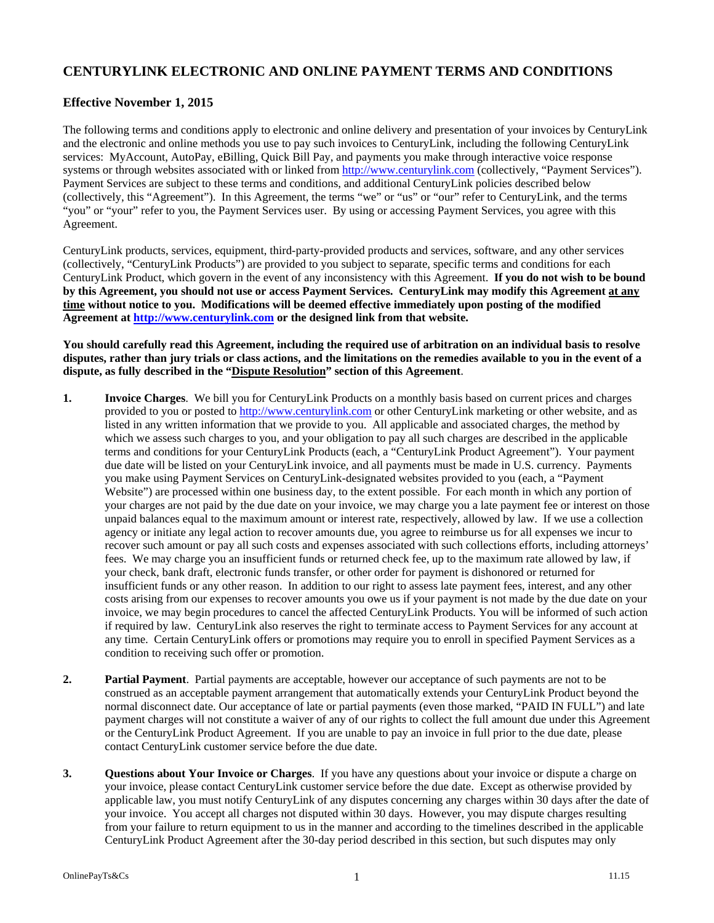# **CENTURYLINK ELECTRONIC AND ONLINE PAYMENT TERMS AND CONDITIONS**

## **Effective November 1, 2015**

The following terms and conditions apply to electronic and online delivery and presentation of your invoices by CenturyLink and the electronic and online methods you use to pay such invoices to CenturyLink, including the following CenturyLink services: MyAccount, AutoPay, eBilling, Quick Bill Pay, and payments you make through interactive voice response systems or through websites associated with or linked from http://www.centurylink.com (collectively, "Payment Services"). Payment Services are subject to these terms and conditions, and additional CenturyLink policies described below (collectively, this "Agreement"). In this Agreement, the terms "we" or "us" or "our" refer to CenturyLink, and the terms "you" or "your" refer to you, the Payment Services user. By using or accessing Payment Services, you agree with this Agreement.

CenturyLink products, services, equipment, third-party-provided products and services, software, and any other services (collectively, "CenturyLink Products") are provided to you subject to separate, specific terms and conditions for each CenturyLink Product, which govern in the event of any inconsistency with this Agreement. **If you do not wish to be bound by this Agreement, you should not use or access Payment Services. CenturyLink may modify this Agreement at any time without notice to you. Modifications will be deemed effective immediately upon posting of the modified Agreement at http://www.centurylink.com or the designed link from that website.** 

#### **You should carefully read this Agreement, including the required use of arbitration on an individual basis to resolve disputes, rather than jury trials or class actions, and the limitations on the remedies available to you in the event of a dispute, as fully described in the "Dispute Resolution" section of this Agreement**.

- **1. Invoice Charges**. We bill you for CenturyLink Products on a monthly basis based on current prices and charges provided to you or posted to http://www.centurylink.com or other CenturyLink marketing or other website, and as listed in any written information that we provide to you. All applicable and associated charges, the method by which we assess such charges to you, and your obligation to pay all such charges are described in the applicable terms and conditions for your CenturyLink Products (each, a "CenturyLink Product Agreement"). Your payment due date will be listed on your CenturyLink invoice, and all payments must be made in U.S. currency. Payments you make using Payment Services on CenturyLink-designated websites provided to you (each, a "Payment Website") are processed within one business day, to the extent possible. For each month in which any portion of your charges are not paid by the due date on your invoice, we may charge you a late payment fee or interest on those unpaid balances equal to the maximum amount or interest rate, respectively, allowed by law. If we use a collection agency or initiate any legal action to recover amounts due, you agree to reimburse us for all expenses we incur to recover such amount or pay all such costs and expenses associated with such collections efforts, including attorneys' fees. We may charge you an insufficient funds or returned check fee, up to the maximum rate allowed by law, if your check, bank draft, electronic funds transfer, or other order for payment is dishonored or returned for insufficient funds or any other reason. In addition to our right to assess late payment fees, interest, and any other costs arising from our expenses to recover amounts you owe us if your payment is not made by the due date on your invoice, we may begin procedures to cancel the affected CenturyLink Products. You will be informed of such action if required by law. CenturyLink also reserves the right to terminate access to Payment Services for any account at any time. Certain CenturyLink offers or promotions may require you to enroll in specified Payment Services as a condition to receiving such offer or promotion.
- **2. Partial Payment**. Partial payments are acceptable, however our acceptance of such payments are not to be construed as an acceptable payment arrangement that automatically extends your CenturyLink Product beyond the normal disconnect date. Our acceptance of late or partial payments (even those marked, "PAID IN FULL") and late payment charges will not constitute a waiver of any of our rights to collect the full amount due under this Agreement or the CenturyLink Product Agreement. If you are unable to pay an invoice in full prior to the due date, please contact CenturyLink customer service before the due date.
- **3. Questions about Your Invoice or Charges**. If you have any questions about your invoice or dispute a charge on your invoice, please contact CenturyLink customer service before the due date. Except as otherwise provided by applicable law, you must notify CenturyLink of any disputes concerning any charges within 30 days after the date of your invoice. You accept all charges not disputed within 30 days. However, you may dispute charges resulting from your failure to return equipment to us in the manner and according to the timelines described in the applicable CenturyLink Product Agreement after the 30-day period described in this section, but such disputes may only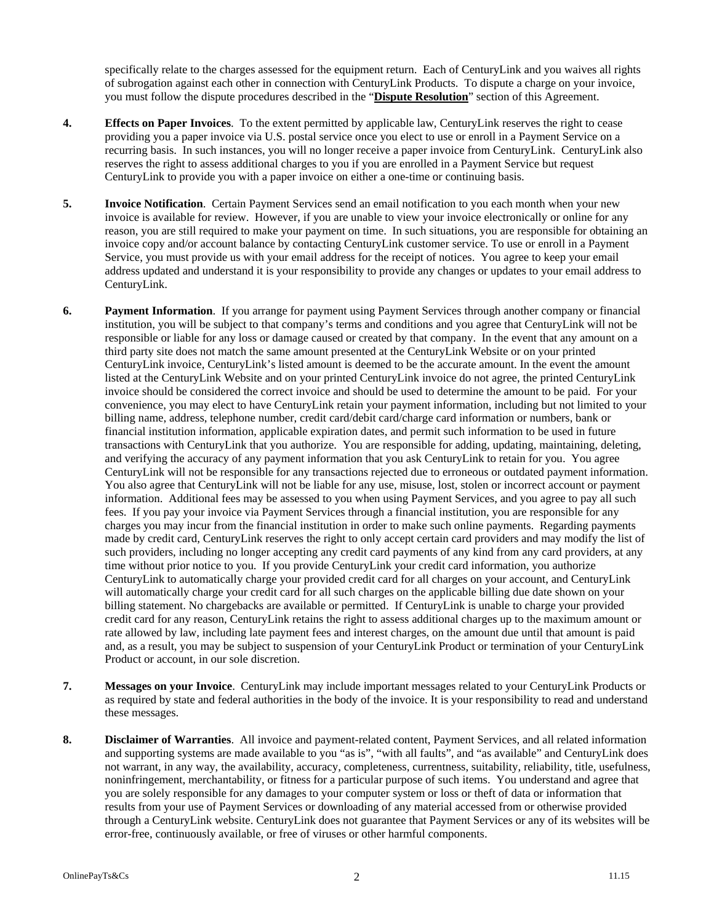specifically relate to the charges assessed for the equipment return. Each of CenturyLink and you waives all rights of subrogation against each other in connection with CenturyLink Products. To dispute a charge on your invoice, you must follow the dispute procedures described in the "**Dispute Resolution**" section of this Agreement.

- **4. Effects on Paper Invoices**. To the extent permitted by applicable law, CenturyLink reserves the right to cease providing you a paper invoice via U.S. postal service once you elect to use or enroll in a Payment Service on a recurring basis. In such instances, you will no longer receive a paper invoice from CenturyLink. CenturyLink also reserves the right to assess additional charges to you if you are enrolled in a Payment Service but request CenturyLink to provide you with a paper invoice on either a one-time or continuing basis.
- **5. Invoice Notification**. Certain Payment Services send an email notification to you each month when your new invoice is available for review. However, if you are unable to view your invoice electronically or online for any reason, you are still required to make your payment on time. In such situations, you are responsible for obtaining an invoice copy and/or account balance by contacting CenturyLink customer service. To use or enroll in a Payment Service, you must provide us with your email address for the receipt of notices. You agree to keep your email address updated and understand it is your responsibility to provide any changes or updates to your email address to CenturyLink.
- **6. Payment Information**. If you arrange for payment using Payment Services through another company or financial institution, you will be subject to that company's terms and conditions and you agree that CenturyLink will not be responsible or liable for any loss or damage caused or created by that company. In the event that any amount on a third party site does not match the same amount presented at the CenturyLink Website or on your printed CenturyLink invoice, CenturyLink's listed amount is deemed to be the accurate amount. In the event the amount listed at the CenturyLink Website and on your printed CenturyLink invoice do not agree, the printed CenturyLink invoice should be considered the correct invoice and should be used to determine the amount to be paid. For your convenience, you may elect to have CenturyLink retain your payment information, including but not limited to your billing name, address, telephone number, credit card/debit card/charge card information or numbers, bank or financial institution information, applicable expiration dates, and permit such information to be used in future transactions with CenturyLink that you authorize. You are responsible for adding, updating, maintaining, deleting, and verifying the accuracy of any payment information that you ask CenturyLink to retain for you. You agree CenturyLink will not be responsible for any transactions rejected due to erroneous or outdated payment information. You also agree that CenturyLink will not be liable for any use, misuse, lost, stolen or incorrect account or payment information. Additional fees may be assessed to you when using Payment Services, and you agree to pay all such fees. If you pay your invoice via Payment Services through a financial institution, you are responsible for any charges you may incur from the financial institution in order to make such online payments. Regarding payments made by credit card, CenturyLink reserves the right to only accept certain card providers and may modify the list of such providers, including no longer accepting any credit card payments of any kind from any card providers, at any time without prior notice to you. If you provide CenturyLink your credit card information, you authorize CenturyLink to automatically charge your provided credit card for all charges on your account, and CenturyLink will automatically charge your credit card for all such charges on the applicable billing due date shown on your billing statement. No chargebacks are available or permitted. If CenturyLink is unable to charge your provided credit card for any reason, CenturyLink retains the right to assess additional charges up to the maximum amount or rate allowed by law, including late payment fees and interest charges, on the amount due until that amount is paid and, as a result, you may be subject to suspension of your CenturyLink Product or termination of your CenturyLink Product or account, in our sole discretion.
- **7. Messages on your Invoice**. CenturyLink may include important messages related to your CenturyLink Products or as required by state and federal authorities in the body of the invoice. It is your responsibility to read and understand these messages.
- **8. Disclaimer of Warranties**. All invoice and payment-related content, Payment Services, and all related information and supporting systems are made available to you "as is", "with all faults", and "as available" and CenturyLink does not warrant, in any way, the availability, accuracy, completeness, currentness, suitability, reliability, title, usefulness, noninfringement, merchantability, or fitness for a particular purpose of such items. You understand and agree that you are solely responsible for any damages to your computer system or loss or theft of data or information that results from your use of Payment Services or downloading of any material accessed from or otherwise provided through a CenturyLink website. CenturyLink does not guarantee that Payment Services or any of its websites will be error-free, continuously available, or free of viruses or other harmful components.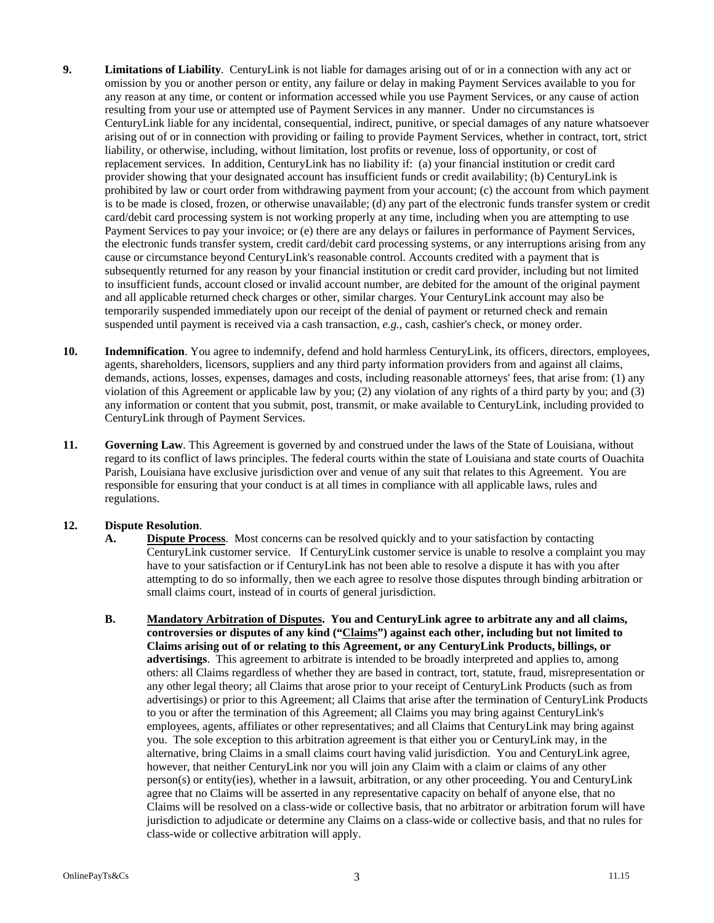- **9. Limitations of Liability**. CenturyLink is not liable for damages arising out of or in a connection with any act or omission by you or another person or entity, any failure or delay in making Payment Services available to you for any reason at any time, or content or information accessed while you use Payment Services, or any cause of action resulting from your use or attempted use of Payment Services in any manner. Under no circumstances is CenturyLink liable for any incidental, consequential, indirect, punitive, or special damages of any nature whatsoever arising out of or in connection with providing or failing to provide Payment Services, whether in contract, tort, strict liability, or otherwise, including, without limitation, lost profits or revenue, loss of opportunity, or cost of replacement services. In addition, CenturyLink has no liability if: (a) your financial institution or credit card provider showing that your designated account has insufficient funds or credit availability; (b) CenturyLink is prohibited by law or court order from withdrawing payment from your account; (c) the account from which payment is to be made is closed, frozen, or otherwise unavailable; (d) any part of the electronic funds transfer system or credit card/debit card processing system is not working properly at any time, including when you are attempting to use Payment Services to pay your invoice; or (e) there are any delays or failures in performance of Payment Services, the electronic funds transfer system, credit card/debit card processing systems, or any interruptions arising from any cause or circumstance beyond CenturyLink's reasonable control. Accounts credited with a payment that is subsequently returned for any reason by your financial institution or credit card provider, including but not limited to insufficient funds, account closed or invalid account number, are debited for the amount of the original payment and all applicable returned check charges or other, similar charges. Your CenturyLink account may also be temporarily suspended immediately upon our receipt of the denial of payment or returned check and remain suspended until payment is received via a cash transaction, *e.g.*, cash, cashier's check, or money order.
- **10. Indemnification**. You agree to indemnify, defend and hold harmless CenturyLink, its officers, directors, employees, agents, shareholders, licensors, suppliers and any third party information providers from and against all claims, demands, actions, losses, expenses, damages and costs, including reasonable attorneys' fees, that arise from: (1) any violation of this Agreement or applicable law by you; (2) any violation of any rights of a third party by you; and (3) any information or content that you submit, post, transmit, or make available to CenturyLink, including provided to CenturyLink through of Payment Services.
- **11. Governing Law**. This Agreement is governed by and construed under the laws of the State of Louisiana, without regard to its conflict of laws principles. The federal courts within the state of Louisiana and state courts of Ouachita Parish, Louisiana have exclusive jurisdiction over and venue of any suit that relates to this Agreement. You are responsible for ensuring that your conduct is at all times in compliance with all applicable laws, rules and regulations.

### **12. Dispute Resolution**.

- **A. Dispute Process**.Most concerns can be resolved quickly and to your satisfaction by contacting CenturyLink customer service. If CenturyLink customer service is unable to resolve a complaint you may have to your satisfaction or if CenturyLink has not been able to resolve a dispute it has with you after attempting to do so informally, then we each agree to resolve those disputes through binding arbitration or small claims court, instead of in courts of general jurisdiction.
- **B. Mandatory Arbitration of Disputes. You and CenturyLink agree to arbitrate any and all claims, controversies or disputes of any kind ("Claims") against each other, including but not limited to Claims arising out of or relating to this Agreement, or any CenturyLink Products, billings, or advertisings**. This agreement to arbitrate is intended to be broadly interpreted and applies to, among others: all Claims regardless of whether they are based in contract, tort, statute, fraud, misrepresentation or any other legal theory; all Claims that arose prior to your receipt of CenturyLink Products (such as from advertisings) or prior to this Agreement; all Claims that arise after the termination of CenturyLink Products to you or after the termination of this Agreement; all Claims you may bring against CenturyLink's employees, agents, affiliates or other representatives; and all Claims that CenturyLink may bring against you. The sole exception to this arbitration agreement is that either you or CenturyLink may, in the alternative, bring Claims in a small claims court having valid jurisdiction. You and CenturyLink agree, however, that neither CenturyLink nor you will join any Claim with a claim or claims of any other person(s) or entity(ies), whether in a lawsuit, arbitration, or any other proceeding. You and CenturyLink agree that no Claims will be asserted in any representative capacity on behalf of anyone else, that no Claims will be resolved on a class-wide or collective basis, that no arbitrator or arbitration forum will have jurisdiction to adjudicate or determine any Claims on a class-wide or collective basis, and that no rules for class-wide or collective arbitration will apply.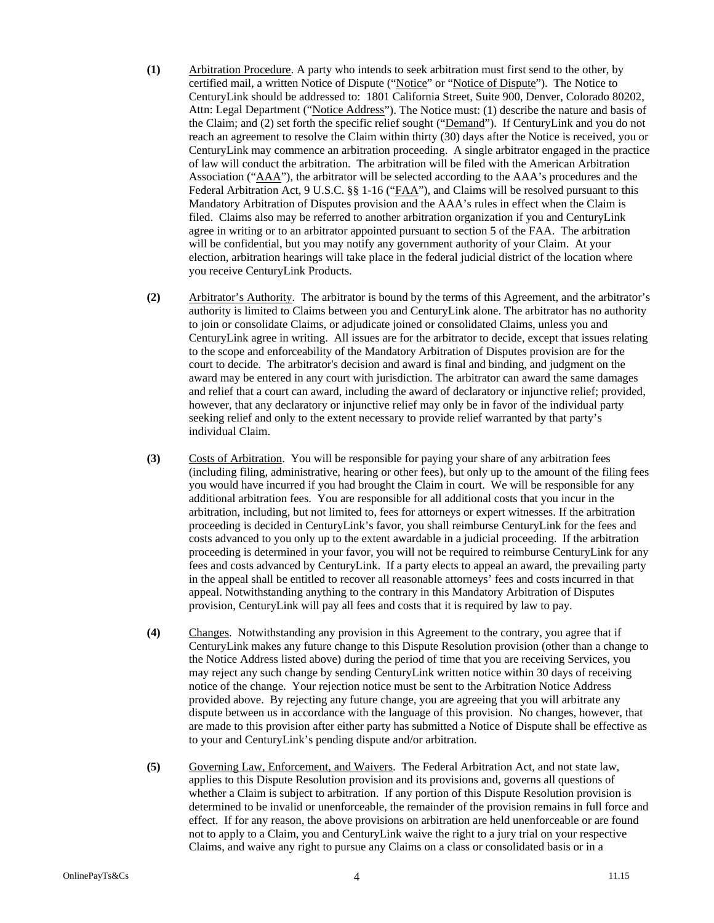- **(1)** Arbitration Procedure. A party who intends to seek arbitration must first send to the other, by certified mail, a written Notice of Dispute ("Notice" or "Notice of Dispute"). The Notice to CenturyLink should be addressed to: 1801 California Street, Suite 900, Denver, Colorado 80202, Attn: Legal Department ("Notice Address"). The Notice must: (1) describe the nature and basis of the Claim; and (2) set forth the specific relief sought ("Demand"). If CenturyLink and you do not reach an agreement to resolve the Claim within thirty (30) days after the Notice is received, you or CenturyLink may commence an arbitration proceeding. A single arbitrator engaged in the practice of law will conduct the arbitration. The arbitration will be filed with the American Arbitration Association ("AAA"), the arbitrator will be selected according to the AAA's procedures and the Federal Arbitration Act, 9 U.S.C. §§ 1-16 ("FAA"), and Claims will be resolved pursuant to this Mandatory Arbitration of Disputes provision and the AAA's rules in effect when the Claim is filed. Claims also may be referred to another arbitration organization if you and CenturyLink agree in writing or to an arbitrator appointed pursuant to section 5 of the FAA. The arbitration will be confidential, but you may notify any government authority of your Claim. At your election, arbitration hearings will take place in the federal judicial district of the location where you receive CenturyLink Products.
- **(2)** Arbitrator's Authority. The arbitrator is bound by the terms of this Agreement, and the arbitrator's authority is limited to Claims between you and CenturyLink alone. The arbitrator has no authority to join or consolidate Claims, or adjudicate joined or consolidated Claims, unless you and CenturyLink agree in writing. All issues are for the arbitrator to decide, except that issues relating to the scope and enforceability of the Mandatory Arbitration of Disputes provision are for the court to decide. The arbitrator's decision and award is final and binding, and judgment on the award may be entered in any court with jurisdiction. The arbitrator can award the same damages and relief that a court can award, including the award of declaratory or injunctive relief; provided, however, that any declaratory or injunctive relief may only be in favor of the individual party seeking relief and only to the extent necessary to provide relief warranted by that party's individual Claim.
- **(3)** Costs of Arbitration. You will be responsible for paying your share of any arbitration fees (including filing, administrative, hearing or other fees), but only up to the amount of the filing fees you would have incurred if you had brought the Claim in court. We will be responsible for any additional arbitration fees. You are responsible for all additional costs that you incur in the arbitration, including, but not limited to, fees for attorneys or expert witnesses. If the arbitration proceeding is decided in CenturyLink's favor, you shall reimburse CenturyLink for the fees and costs advanced to you only up to the extent awardable in a judicial proceeding. If the arbitration proceeding is determined in your favor, you will not be required to reimburse CenturyLink for any fees and costs advanced by CenturyLink. If a party elects to appeal an award, the prevailing party in the appeal shall be entitled to recover all reasonable attorneys' fees and costs incurred in that appeal. Notwithstanding anything to the contrary in this Mandatory Arbitration of Disputes provision, CenturyLink will pay all fees and costs that it is required by law to pay.
- **(4)** Changes. Notwithstanding any provision in this Agreement to the contrary, you agree that if CenturyLink makes any future change to this Dispute Resolution provision (other than a change to the Notice Address listed above) during the period of time that you are receiving Services, you may reject any such change by sending CenturyLink written notice within 30 days of receiving notice of the change. Your rejection notice must be sent to the Arbitration Notice Address provided above. By rejecting any future change, you are agreeing that you will arbitrate any dispute between us in accordance with the language of this provision. No changes, however, that are made to this provision after either party has submitted a Notice of Dispute shall be effective as to your and CenturyLink's pending dispute and/or arbitration.
- **(5)** Governing Law, Enforcement, and Waivers. The Federal Arbitration Act, and not state law, applies to this Dispute Resolution provision and its provisions and, governs all questions of whether a Claim is subject to arbitration. If any portion of this Dispute Resolution provision is determined to be invalid or unenforceable, the remainder of the provision remains in full force and effect. If for any reason, the above provisions on arbitration are held unenforceable or are found not to apply to a Claim, you and CenturyLink waive the right to a jury trial on your respective Claims, and waive any right to pursue any Claims on a class or consolidated basis or in a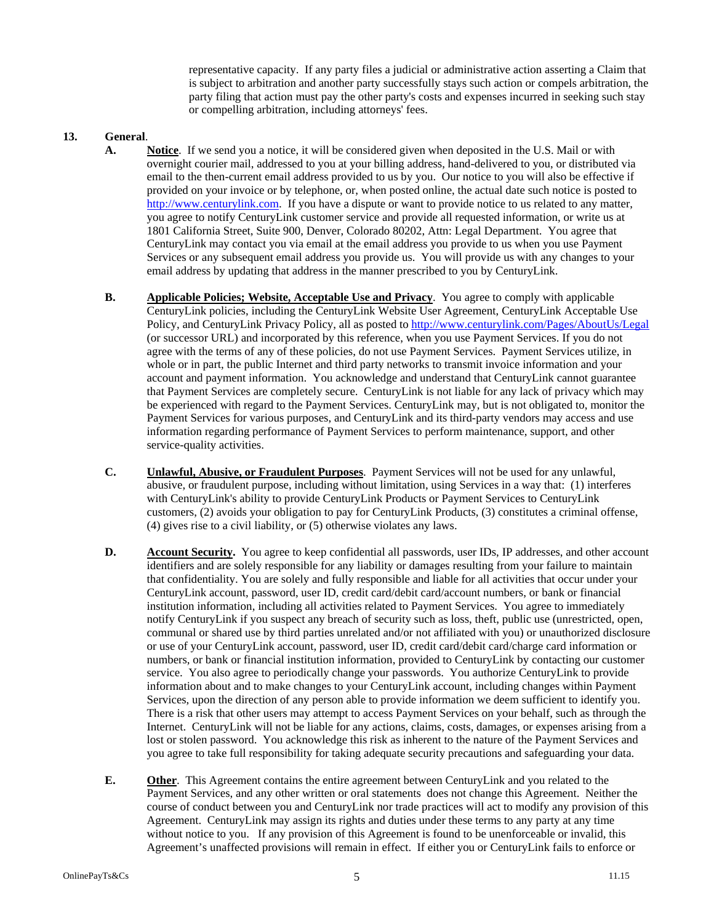representative capacity. If any party files a judicial or administrative action asserting a Claim that is subject to arbitration and another party successfully stays such action or compels arbitration, the party filing that action must pay the other party's costs and expenses incurred in seeking such stay or compelling arbitration, including attorneys' fees.

#### **13. General**.

- **A. Notice**. If we send you a notice, it will be considered given when deposited in the U.S. Mail or with overnight courier mail, addressed to you at your billing address, hand-delivered to you, or distributed via email to the then-current email address provided to us by you. Our notice to you will also be effective if provided on your invoice or by telephone, or, when posted online, the actual date such notice is posted to http://www.centurylink.com. If you have a dispute or want to provide notice to us related to any matter, you agree to notify CenturyLink customer service and provide all requested information, or write us at 1801 California Street, Suite 900, Denver, Colorado 80202, Attn: Legal Department. You agree that CenturyLink may contact you via email at the email address you provide to us when you use Payment Services or any subsequent email address you provide us. You will provide us with any changes to your email address by updating that address in the manner prescribed to you by CenturyLink.
- **B. Applicable Policies; Website, Acceptable Use and Privacy**. You agree to comply with applicable CenturyLink policies, including the CenturyLink Website User Agreement, CenturyLink Acceptable Use Policy, and CenturyLink Privacy Policy, all as posted to http://www.centurylink.com/Pages/AboutUs/Legal (or successor URL) and incorporated by this reference, when you use Payment Services. If you do not agree with the terms of any of these policies, do not use Payment Services. Payment Services utilize, in whole or in part, the public Internet and third party networks to transmit invoice information and your account and payment information. You acknowledge and understand that CenturyLink cannot guarantee that Payment Services are completely secure. CenturyLink is not liable for any lack of privacy which may be experienced with regard to the Payment Services. CenturyLink may, but is not obligated to, monitor the Payment Services for various purposes, and CenturyLink and its third-party vendors may access and use information regarding performance of Payment Services to perform maintenance, support, and other service-quality activities.
- **C. Unlawful, Abusive, or Fraudulent Purposes**. Payment Services will not be used for any unlawful, abusive, or fraudulent purpose, including without limitation, using Services in a way that: (1) interferes with CenturyLink's ability to provide CenturyLink Products or Payment Services to CenturyLink customers, (2) avoids your obligation to pay for CenturyLink Products, (3) constitutes a criminal offense, (4) gives rise to a civil liability, or (5) otherwise violates any laws.
- **D. Account Security.** You agree to keep confidential all passwords, user IDs, IP addresses, and other account identifiers and are solely responsible for any liability or damages resulting from your failure to maintain that confidentiality. You are solely and fully responsible and liable for all activities that occur under your CenturyLink account, password, user ID, credit card/debit card/account numbers, or bank or financial institution information, including all activities related to Payment Services. You agree to immediately notify CenturyLink if you suspect any breach of security such as loss, theft, public use (unrestricted, open, communal or shared use by third parties unrelated and/or not affiliated with you) or unauthorized disclosure or use of your CenturyLink account, password, user ID, credit card/debit card/charge card information or numbers, or bank or financial institution information, provided to CenturyLink by contacting our customer service. You also agree to periodically change your passwords. You authorize CenturyLink to provide information about and to make changes to your CenturyLink account, including changes within Payment Services, upon the direction of any person able to provide information we deem sufficient to identify you. There is a risk that other users may attempt to access Payment Services on your behalf, such as through the Internet. CenturyLink will not be liable for any actions, claims, costs, damages, or expenses arising from a lost or stolen password. You acknowledge this risk as inherent to the nature of the Payment Services and you agree to take full responsibility for taking adequate security precautions and safeguarding your data.
- **E. Other**. This Agreement contains the entire agreement between CenturyLink and you related to the Payment Services, and any other written or oral statements does not change this Agreement. Neither the course of conduct between you and CenturyLink nor trade practices will act to modify any provision of this Agreement. CenturyLink may assign its rights and duties under these terms to any party at any time without notice to you. If any provision of this Agreement is found to be unenforceable or invalid, this Agreement's unaffected provisions will remain in effect. If either you or CenturyLink fails to enforce or